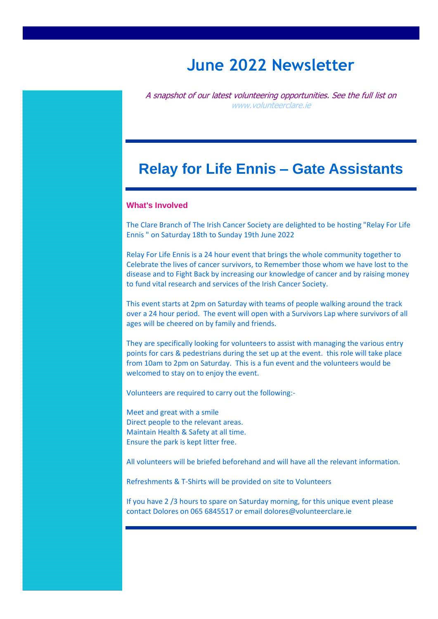# **June 2022 Newsletter**

A snapshot of our latest volunteering opportunities. See the full list on [www.volunteerclare.ie](http://www.volunteerclare.ie/)

# **Relay for Life Ennis – Gate Assistants**

### **What's Involved**

The Clare Branch of The Irish Cancer Society are delighted to be hosting "Relay For Life Ennis " on Saturday 18th to Sunday 19th June 2022

Relay For Life Ennis is a 24 hour event that brings the whole community together to Celebrate the lives of cancer survivors, to Remember those whom we have lost to the disease and to Fight Back by increasing our knowledge of cancer and by raising money to fund vital research and services of the Irish Cancer Society.

This event starts at 2pm on Saturday with teams of people walking around the track over a 24 hour period. The event will open with a Survivors Lap where survivors of all ages will be cheered on by family and friends.

They are specifically looking for volunteers to assist with managing the various entry points for cars & pedestrians during the set up at the event. this role will take place from 10am to 2pm on Saturday. This is a fun event and the volunteers would be welcomed to stay on to enjoy the event.

Volunteers are required to carry out the following:-

Meet and great with a smile Direct people to the relevant areas. Maintain Health & Safety at all time. Ensure the park is kept litter free.

All volunteers will be briefed beforehand and will have all the relevant information.

Refreshments & T-Shirts will be provided on site to Volunteers

If you have 2 /3 hours to spare on Saturday morning, for this unique event please contact Dolores on 065 6845517 or email dolores@volunteerclare.ie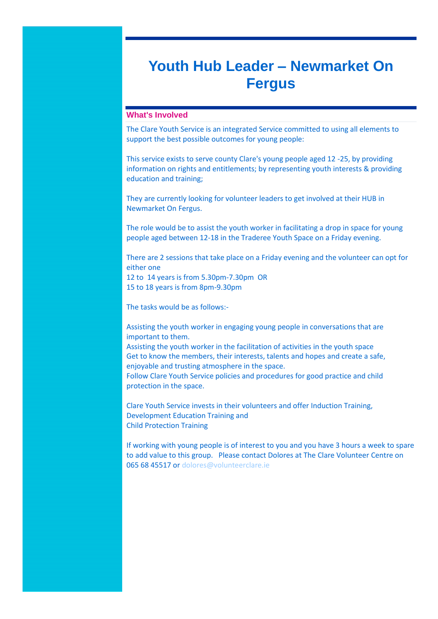# **Youth Hub Leader – Newmarket On Fergus**

### **What's Involved**

The Clare Youth Service is an integrated Service committed to using all elements to support the best possible outcomes for young people:

This service exists to serve county Clare's young people aged 12 -25, by providing information on rights and entitlements; by representing youth interests & providing education and training;

They are currently looking for volunteer leaders to get involved at their HUB in Newmarket On Fergus.

The role would be to assist the youth worker in facilitating a drop in space for young people aged between 12-18 in the Traderee Youth Space on a Friday evening.

There are 2 sessions that take place on a Friday evening and the volunteer can opt for either one 12 to 14 years is from 5.30pm-7.30pm OR 15 to 18 years is from 8pm-9.30pm

The tasks would be as follows:-

Assisting the youth worker in engaging young people in conversations that are important to them.

Assisting the youth worker in the facilitation of activities in the youth space Get to know the members, their interests, talents and hopes and create a safe, enjoyable and trusting atmosphere in the space. Follow Clare Youth Service policies and procedures for good practice and child protection in the space.

Clare Youth Service invests in their volunteers and offer Induction Training, Development Education Training and Child Protection Training

If working with young people is of interest to you and you have 3 hours a week to spare to add value to this group. Please contact Dolores at The Clare Volunteer Centre on 065 68 45517 or [dolores@volunteerclare.ie](mailto:dolores@volunteerclare.ie)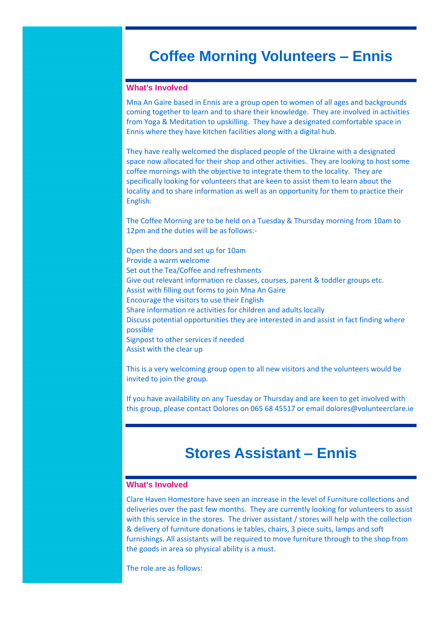## **Coffee Morning Volunteers – Ennis**

### **What's Involved**

Mna An Gaire based in Ennis are a group open to women of all ages and backgrounds coming together to learn and to share their knowledge. They are involved in activities from Yoga & Meditation to upskilling. They have a designated comfortable space in Ennis where they have kitchen facilities along with a digital hub.

They have really welcomed the displaced people of the Ukraine with a designated space now allocated for their shop and other activities. They are looking to host some coffee mornings with the objective to integrate them to the locality. They are specifically looking for volunteers that are keen to assist them to learn about the locality and to share information as well as an opportunity for them to practice their English.

The Coffee Morning are to be held on a Tuesday & Thursday morning from 10am to 12pm and the duties will be as follows:-

Open the doors and set up for 10am Provide a warm welcome Set out the Tea/Coffee and refreshments Give out relevant information re classes, courses, parent & toddler groups etc. Assist with filling out forms to join Mna An Gaire Encourage the visitors to use their English Share information re activities for children and adults locally Discuss potential opportunities they are interested in and assist in fact finding where possible Signpost to other services if needed Assist with the clear up

This is a very welcoming group open to all new visitors and the volunteers would be invited to join the group.

If you have availability on any Tuesday or Thursday and are keen to get involved with this group, please contact Dolores on 065 68 45517 or email dolores@volunteerclare.ie

## **Stores Assistant – Ennis**

### **What's Involved**

Clare Haven Homestore have seen an increase in the level of Furniture collections and deliveries over the past few months. They are currently looking for volunteers to assist with this service in the stores. The driver assistant / stores will help with the collection & delivery of furniture donations ie tables, chairs, 3 piece suits, lamps and soft furnishings. All assistants will be required to move furniture through to the shop from the goods in area so physical ability is a must.

The role are as follows: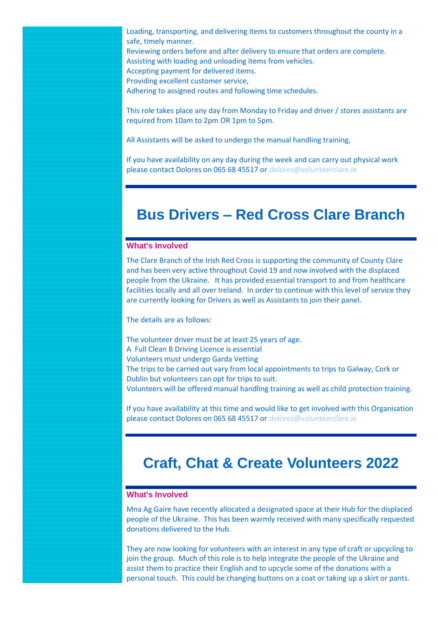Loading, transporting, and delivering items to customers throughout the county in a safe, timely manner. Reviewing orders before and after delivery to ensure that orders are complete. Assisting with loading and unloading items from vehicles. Accepting payment for delivered items. Providing excellent customer service,

Adhering to assigned routes and following time schedules.

This role takes place any day from Monday to Friday and driver / stores assistants are required from 10am to 2pm OR 1pm to 5pm.

All Assistants will be asked to undergo the manual handling training,

If you have availability on any day during the week and can carry out physical work please contact Dolores on 065 68 45517 o[r dolores@volunteerclare.ie](mailto:dolores@volunteerclare.ie)

# **Bus Drivers – Red Cross Clare Branch**

### **What's Involved**

The Clare Branch of the Irish Red Cross is supporting the community of County Clare and has been very active throughout Covid 19 and now involved with the displaced people from the Ukraine. It has provided essential transport to and from healthcare facilities locally and all over Ireland. In order to continue with this level of service they are currently looking for Drivers as well as Assistants to join their panel.

The details are as follows:

The volunteer driver must be at least 25 years of age. A Full Clean B Driving Licence is essential Volunteers must undergo Garda Vetting The trips to be carried out vary from local appointments to trips to Galway, Cork or Dublin but volunteers can opt for trips to suit. Volunteers will be offered manual handling training as well as child protection training.

If you have availability at this time and would like to get involved with this Organisation please contact Dolores on 065 68 45517 o[r dolores@volunteerclare.ie](mailto:dolores@volunteerclare.ie)

# **Craft, Chat & Create Volunteers 2022**

### **What's Involved**

Mna Ag Gaire have recently allocated a designated space at their Hub for the displaced people of the Ukraine. This has been warmly received with many specifically requested donations delivered to the Hub.

They are now looking for volunteers with an interest in any type of craft or upcycling to join the group. Much of this role is to help integrate the people of the Ukraine and assist them to practice their English and to upcycle some of the donations with a personal touch. This could be changing buttons on a coat or taking up a skirt or pants.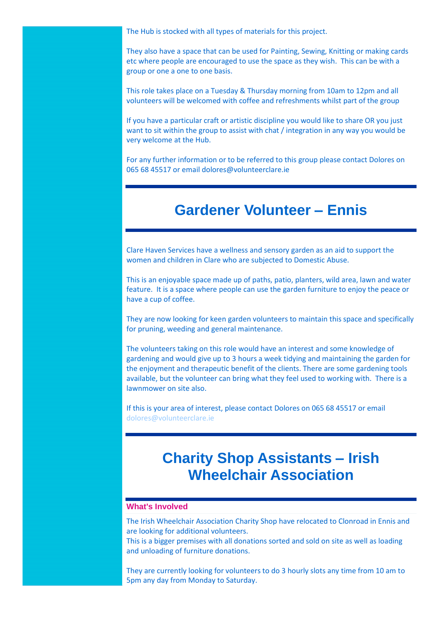The Hub is stocked with all types of materials for this project.

They also have a space that can be used for Painting, Sewing, Knitting or making cards etc where people are encouraged to use the space as they wish. This can be with a group or one a one to one basis.

This role takes place on a Tuesday & Thursday morning from 10am to 12pm and all volunteers will be welcomed with coffee and refreshments whilst part of the group

If you have a particular craft or artistic discipline you would like to share OR you just want to sit within the group to assist with chat / integration in any way you would be very welcome at the Hub.

For any further information or to be referred to this group please contact Dolores on 065 68 45517 or email dolores@volunteerclare.ie

### **Gardener Volunteer – Ennis**

Clare Haven Services have a wellness and sensory garden as an aid to support the women and children in Clare who are subjected to Domestic Abuse.

This is an enjoyable space made up of paths, patio, planters, wild area, lawn and water feature. It is a space where people can use the garden furniture to enjoy the peace or have a cup of coffee.

They are now looking for keen garden volunteers to maintain this space and specifically for pruning, weeding and general maintenance.

The volunteers taking on this role would have an interest and some knowledge of gardening and would give up to 3 hours a week tidying and maintaining the garden for the enjoyment and therapeutic benefit of the clients. There are some gardening tools available, but the volunteer can bring what they feel used to working with. There is a lawnmower on site also.

If this is your area of interest, please contact Dolores on 065 68 45517 or email [dolores@volunteerclare.ie](mailto:dolores@volunteerclare.ie)

# **Charity Shop Assistants – Irish Wheelchair Association**

### **What's Involved**

The Irish Wheelchair Association Charity Shop have relocated to Clonroad in Ennis and are looking for additional volunteers.

This is a bigger premises with all donations sorted and sold on site as well as loading and unloading of furniture donations.

They are currently looking for volunteers to do 3 hourly slots any time from 10 am to 5pm any day from Monday to Saturday.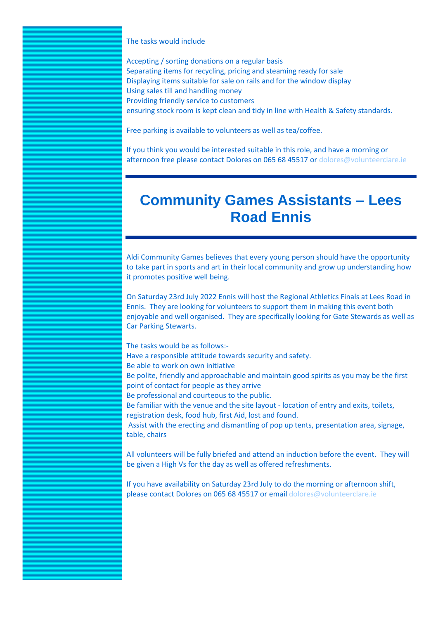#### The tasks would include

Accepting / sorting donations on a regular basis Separating items for recycling, pricing and steaming ready for sale Displaying items suitable for sale on rails and for the window display Using sales till and handling money Providing friendly service to customers ensuring stock room is kept clean and tidy in line with Health & Safety standards.

Free parking is available to volunteers as well as tea/coffee.

If you think you would be interested suitable in this role, and have a morning or afternoon free please contact Dolores on 065 68 45517 o[r dolores@volunteerclare.ie](mailto:dolores@volunteerclare.ie)

# **Community Games Assistants – Lees Road Ennis**

Aldi Community Games believes that every young person should have the opportunity to take part in sports and art in their local community and grow up understanding how it promotes positive well being.

On Saturday 23rd July 2022 Ennis will host the Regional Athletics Finals at Lees Road in Ennis. They are looking for volunteers to support them in making this event both enjoyable and well organised. They are specifically looking for Gate Stewards as well as Car Parking Stewarts.

The tasks would be as follows:- Have a responsible attitude towards security and safety. Be able to work on own initiative Be polite, friendly and approachable and maintain good spirits as you may be the first point of contact for people as they arrive Be professional and courteous to the public. Be familiar with the venue and the site layout - location of entry and exits, toilets, registration desk, food hub, first Aid, lost and found. Assist with the erecting and dismantling of pop up tents, presentation area, signage, table, chairs All volunteers will be fully briefed and attend an induction before the event. They will be given a High Vs for the day as well as offered refreshments. If you have availability on Saturday 23rd July to do the morning or afternoon shift, please contact Dolores on 065 68 45517 or emai[l dolores@volunteerclare.ie](mailto:dolores@volunteerclare.ie)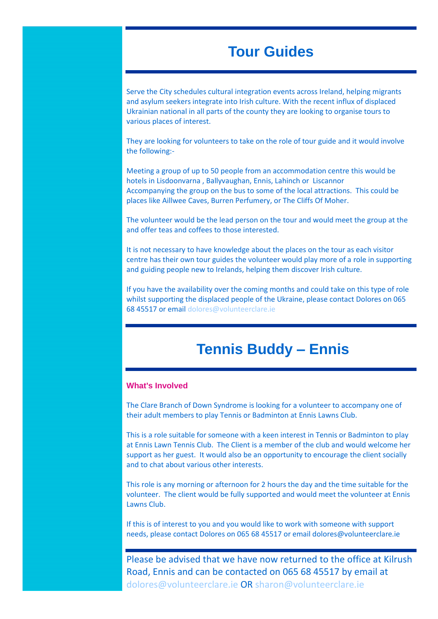# **Tour Guides**

Serve the City schedules cultural integration events across Ireland, helping migrants and asylum seekers integrate into Irish culture. With the recent influx of displaced Ukrainian national in all parts of the county they are looking to organise tours to various places of interest.

They are looking for volunteers to take on the role of tour guide and it would involve the following:-

Meeting a group of up to 50 people from an accommodation centre this would be hotels in Lisdoonvarna , Ballyvaughan, Ennis, Lahinch or Liscannor Accompanying the group on the bus to some of the local attractions. This could be places like Aillwee Caves, Burren Perfumery, or The Cliffs Of Moher.

The volunteer would be the lead person on the tour and would meet the group at the and offer teas and coffees to those interested.

It is not necessary to have knowledge about the places on the tour as each visitor centre has their own tour guides the volunteer would play more of a role in supporting and guiding people new to Irelands, helping them discover Irish culture.

If you have the availability over the coming months and could take on this type of role whilst supporting the displaced people of the Ukraine, please contact Dolores on 065 68 45517 or email dolores@volunteerclare.je

## **Tennis Buddy – Ennis**

### **What's Involved**

The Clare Branch of Down Syndrome is looking for a volunteer to accompany one of their adult members to play Tennis or Badminton at Ennis Lawns Club.

This is a role suitable for someone with a keen interest in Tennis or Badminton to play at Ennis Lawn Tennis Club. The Client is a member of the club and would welcome her support as her guest. It would also be an opportunity to encourage the client socially and to chat about various other interests.

This role is any morning or afternoon for 2 hours the day and the time suitable for the volunteer. The client would be fully supported and would meet the volunteer at Ennis Lawns Club.

If this is of interest to you and you would like to work with someone with support needs, please contact Dolores on 065 68 45517 or email dolores@volunteerclare.ie

Please be advised that we have now returned to the office at Kilrush Road, Ennis and can be contacted on 065 68 45517 by email at [dolores@volunteerclare.ie](mailto:dolores@volunteerclare.ie) OR [sharon@volunteerclare.ie](mailto:sharon@volunteerclare.ie)